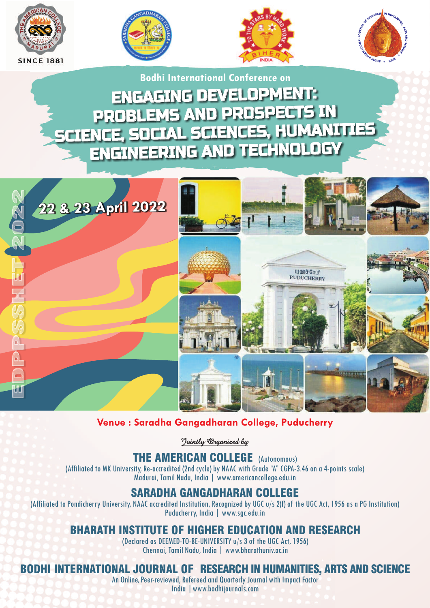







ENGAGING DEVELOPMENT: ENGAGING DEVELOPMENT: PROBLEMS AND PROSPECTS IN PROBLEMS AND PROSPECTS IN SCIENCE, SOCIAL SCIENCES, HUMANITIES SCIENCE, SOCIAL SCIENCES, HUMANITIES Bodhi International Conference on<br> **ENGAGING DEVELOPMENT:<br>
PROBLEMS AND PROSPECTS IN<br>
NCE, SOCIAL SCIENCES, HUMANI<br>
ENGINEERING AND TECHNOLOGY** 



**Venue : Saradha Gangadharan College, Puducherry**

*Jointly Organized by*

## THE AMERICAN COLLEGE (Autonomous)

(Affiliated to MK University, Re-accredited (2nd cycle) by NAAC with Grade "A" CGPA-3.46 on a 4-points scale) Madurai, Tamil Nadu, India | www.americancollege.edu.in

## SARADHA GANGADHARAN COLLEGE

(Affiliated to Pondicherry University, NAAC accredited Institution, Recognized by UGC u/s 2(f) of the UGC Act, 1956 as a PG Institution) Puducherry, India | www.sgc.edu.in

## BHARATH INSTITUTE OF HIGHER EDUCATION AND RESEARCH

(Declared as DEEMED-TO-BE-UNIVERSITY u/s 3 of the UGC Act, 1956) Chennai, Tamil Nadu, India | www.bharathuniv.ac.in

## ONAL JOURNAL OF RESEARCH IN HUMANITIES, ARTS AND SCIENCE

An Online, Peer-reviewed, Refereed and Quarterly Journal with Impact Factor

India |www.bodhijournals.com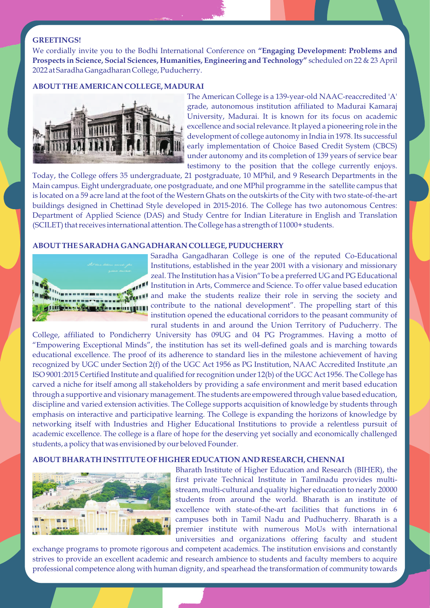### **GREETINGS!**

We cordially invite you to the Bodhi International Conference on **"Engaging Development: Problems and Prospects in Science, Social Sciences, Humanities, Engineering and Technology"** scheduled on 22 & 23 April 2022 at Saradha Gangadharan College, Puducherry.

### **ABOUT THE AMERICAN COLLEGE, MADURAI**



The American College is a 139-year-old NAAC-reaccredited 'A' grade, autonomous institution affiliated to Madurai Kamaraj University, Madurai. It is known for its focus on academic excellence and social relevance. It played a pioneering role in the development of college autonomy in India in 1978. Its successful early implementation of Choice Based Credit System (CBCS) under autonomy and its completion of 139 years of service bear testimony to the position that the college currently enjoys.

Today, the College offers 35 undergraduate, 21 postgraduate, 10 MPhil, and 9 Research Departments in the Main campus. Eight undergraduate, one postgraduate, and one MPhil programme in the satellite campus that is located on a 59 acre land at the foot of the Western Ghats on the outskirts of the City with two state-of-the-art buildings designed in Chettinad Style developed in 2015-2016. The College has two autonomous Centres: Department of Applied Science (DAS) and Study Centre for Indian Literature in English and Translation (SCILET) that receives international attention. The College has a strength of 11000+ students.

### **ABOUT THE SARADHA GANGADHARAN COLLEGE, PUDUCHERRY**



Saradha Gangadharan College is one of the reputed Co-Educational Institutions, established in the year 2001 with a visionary and missionary zeal. The Institution has a Vision"To be a preferred UG and PG Educational Institution in Arts, Commerce and Science. To offer value based education and make the students realize their role in serving the society and **Contribute to the national development**". The propelling start of this institution opened the educational corridors to the peasant community of rural students in and around the Union Territory of Puducherry. The

College, affiliated to Pondicherry University has 09UG and 04 PG Programmes. Having a motto of "Empowering Exceptional Minds", the institution has set its well-defined goals and is marching towards educational excellence. The proof of its adherence to standard lies in the milestone achievement of having recognized by UGC under Section 2(f) of the UGC Act 1956 as PG Institution, NAAC Accredited Institute ,an ISO 9001:2015 Certified Institute and qualified for recognition under 12(b) of the UGC Act 1956. The College has carved a niche for itself among all stakeholders by providing a safe environment and merit based education through a supportive and visionary management. The students are empowered through value based education, discipline and varied extension activities. The College supports acquisition of knowledge by students through emphasis on interactive and participative learning. The College is expanding the horizons of knowledge by networking itself with Industries and Higher Educational Institutions to provide a relentless pursuit of academic excellence. The college is a flare of hope for the deserving yet socially and economically challenged students, a policy that was envisioned by our beloved Founder.

### **ABOUT BHARATH INSTITUTE OF HIGHER EDUCATION AND RESEARCH, CHENNAI**



Bharath Institute of Higher Education and Research (BIHER), the first private Technical Institute in Tamilnadu provides multistream, multi-cultural and quality higher education to nearly 20000 students from around the world. Bharath is an institute of excellence with state-of-the-art facilities that functions in 6 campuses both in Tamil Nadu and Pudhucherry. Bharath is a premier institute with numerous MoUs with international universities and organizations offering faculty and student

exchange programs to promote rigorous and competent academics. The institution envisions and constantly strives to provide an excellent academic and research ambience to students and faculty members to acquire professional competence along with human dignity, and spearhead the transformation of community towards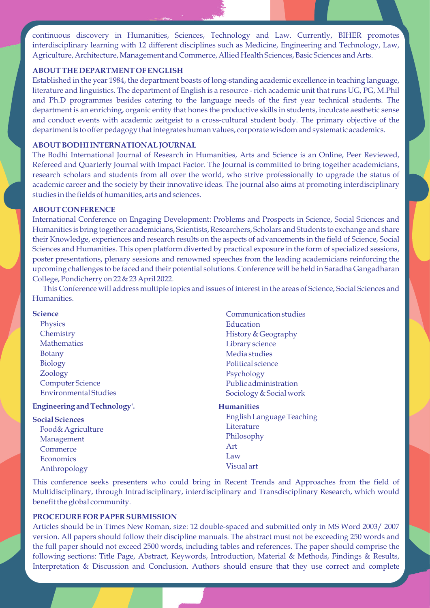continuous discovery in Humanities, Sciences, Technology and Law. Currently, BIHER promotes interdisciplinary learning with 12 different disciplines such as Medicine, Engineering and Technology, Law, Agriculture, Architecture, Management and Commerce, Allied Health Sciences, Basic Sciences and Arts.

### **ABOUT THE DEPARTMENT OF ENGLISH**

Established in the year 1984, the department boasts of long-standing academic excellence in teaching language, literature and linguistics. The department of English is a resource - rich academic unit that runs UG, PG, M.Phil and Ph.D programmes besides catering to the language needs of the first year technical students. The department is an enriching, organic entity that hones the productive skills in students, inculcate aesthetic sense and conduct events with academic zeitgeist to a cross-cultural student body. The primary objective of the department is to offer pedagogy that integrates human values, corporate wisdom and systematic academics.

### **ABOUT BODHI INTERNATIONAL JOURNAL**

The Bodhi International Journal of Research in Humanities, Arts and Science is an Online, Peer Reviewed, Refereed and Quarterly Journal with Impact Factor. The Journal is committed to bring together academicians, research scholars and students from all over the world, who strive professionally to upgrade the status of academic career and the society by their innovative ideas. The journal also aims at promoting interdisciplinary studies in the fields of humanities, arts and sciences.

### **ABOUT CONFERENCE**

International Conference on Engaging Development: Problems and Prospects in Science, Social Sciences and Humanities is bring together academicians, Scientists, Researchers, Scholars and Students to exchange and share their Knowledge, experiences and research results on the aspects of advancements in the field of Science, Social Sciences and Humanities. This open platform diverted by practical exposure in the form of specialized sessions, poster presentations, plenary sessions and renowned speeches from the leading academicians reinforcing the upcoming challenges to be faced and their potential solutions. Conference will be held in Saradha Gangadharan College, Pondicherry on 22 & 23 April 2022.

This Conference will address multiple topics and issues of interest in the areas of Science, Social Sciences and Humanities.

| Science                             | Communication studies     |
|-------------------------------------|---------------------------|
| <b>Physics</b>                      | Education                 |
| Chemistry                           | History & Geography       |
| <b>Mathematics</b>                  | Library science           |
| <b>Botany</b>                       | Media studies             |
| <b>Biology</b>                      | Political science         |
| Zoology                             | Psychology                |
| <b>Computer Science</b>             | Public administration     |
| <b>Environmental Studies</b>        | Sociology & Social work   |
| <b>Engineering and Technology'.</b> | <b>Humanities</b>         |
| <b>Social Sciences</b>              | English Language Teaching |
| Food& Agriculture                   | Literature                |
| Management                          | Philosophy                |
| Commerce                            | Art                       |
| Economics                           | Law                       |
| Anthropology                        | Visual art                |

This conference seeks presenters who could bring in Recent Trends and Approaches from the field of Multidisciplinary, through Intradisciplinary, interdisciplinary and Transdisciplinary Research, which would benefit the global community.

## **PROCEDURE FOR PAPER SUBMISSION**

Articles should be in Times New Roman, size: 12 double-spaced and submitted only in MS Word 2003/ 2007 version. All papers should follow their discipline manuals. The abstract must not be exceeding 250 words and the full paper should not exceed 2500 words, including tables and references. The paper should comprise the following sections: Title Page, Abstract, Keywords, Introduction, Material & Methods, Findings & Results, Interpretation & Discussion and Conclusion. Authors should ensure that they use correct and complete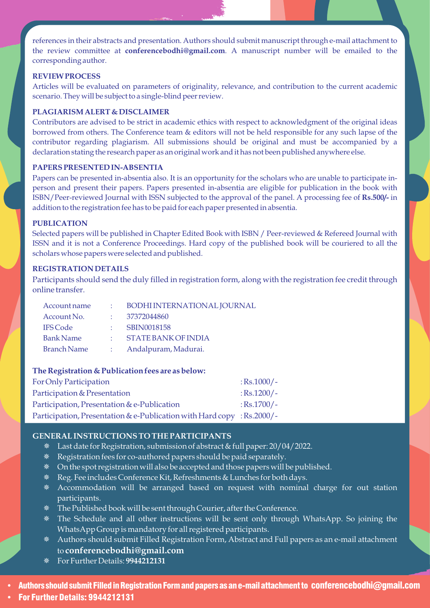references in their abstracts and presentation. Authors should submit manuscript through e-mail attachment to the review committee at **conferencebodhi@gmail.com**. A manuscript number will be emailed to the corresponding author.

### **REVIEW PROCESS**

Articles will be evaluated on parameters of originality, relevance, and contribution to the current academic scenario. They will be subject to a single-blind peer review.

### **PLAGIARISM ALERT & DISCLAIMER**

Contributors are advised to be strict in academic ethics with respect to acknowledgment of the original ideas borrowed from others. The Conference team & editors will not be held responsible for any such lapse of the contributor regarding plagiarism. All submissions should be original and must be accompanied by a declaration stating the research paper as an original work and it has not been published anywhere else.

### **PAPERS PRESENTED IN-ABSENTIA**

Papers can be presented in-absentia also. It is an opportunity for the scholars who are unable to participate inperson and present their papers. Papers presented in-absentia are eligible for publication in the book with ISBN/Peer-reviewed Journal with ISSN subjected to the approval of the panel. A processing fee of **Rs.500/-** in addition to the registration fee has to be paid for each paper presented in absentia.

### **PUBLICATION**

Selected papers will be published in Chapter Edited Book with ISBN / Peer-reviewed & Refereed Journal with ISSN and it is not a Conference Proceedings. Hard copy of the published book will be couriered to all the scholars whose papers were selected and published.

### **REGISTRATION DETAILS**

Participants should send the duly filled in registration form, along with the registration fee credit through online transfer.

| Account name       |       | BODHI INTERNATIONAL JOURNAL |
|--------------------|-------|-----------------------------|
| Account No.        |       | 37372044860                 |
| <b>IFS Code</b>    | A.    | <b>SBIN0018158</b>          |
| <b>Bank Name</b>   |       | <b>STATE BANK OF INDIA</b>  |
| <b>Branch Name</b> | de la | Andalpuram, Madurai.        |

### **The Registration & Publication fees are as below:**

| For Only Participation                                                | $:$ Rs.1000/- |
|-----------------------------------------------------------------------|---------------|
| Participation & Presentation                                          | $:$ Rs.1200/- |
| Participation, Presentation & e-Publication                           | $:$ Rs.1700/- |
| Participation, Presentation & e-Publication with Hard copy: Rs.2000/- |               |

## **GENERAL INSTRUCTIONS TO THE PARTICIPANTS**

- ¯ Last date for Registration, submission of abstract & full paper: 20/04/2022.
- ¯ Registration fees for co-authored papers should be paid separately.
- ¯ On the spot registration will also be accepted and those papers will be published.
- ¯ Reg. Fee includes Conference Kit, Refreshments & Lunches for both days.
- \* Accommodation will be arranged based on request with nominal charge for out station participants.
- ¯ The Published book will be sent through Courier, after the Conference.
- ¯ The Schedule and all other instructions will be sent only through WhatsApp. So joining the WhatsApp Group is mandatory for all registered participants.
- ¯ Authors should submit Filled Registration Form, Abstract and Full papers as an e-mail attachment to **conferencebodhi@gmail.com**
- ¯ For Further Details: **9944212131**

• Authors should submit Filled in Registration Form and papers as an e-mail attachment to conferencebodhi@gmail.com<br>• For Further Details: 9944212131

For Further Details: 9944212131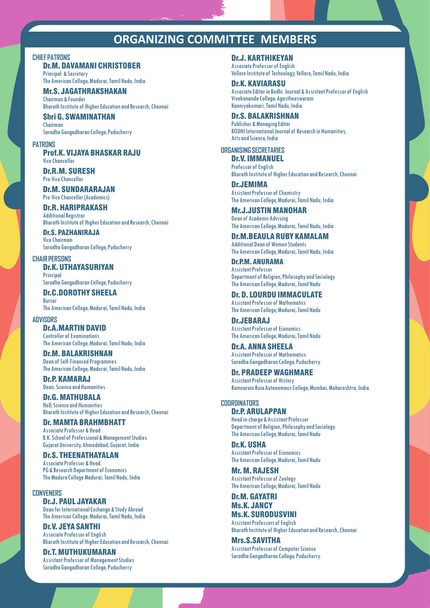## **ORGANIZING COMMITTEE MEMBERS**

#### **CHIEF PATRONS**

## Dr.M. DAVAMANI CHRISTOBER

Principal & Secretary The American College, Madurai, Tamil Nadu, India

Mr.S. JAGATHRAKSHAKAN Chairman & Founder

Bharath Institute of Higher Education and Research, Chennai

Shri G. SWAMINATHAN Chairman

Saradha Gangadharan College, Puducherry

#### **PATRONS**

Prof.K. VIJAYA BHASKAR RAJU Vice Chancellor

#### Dr.R.M. SURESH Pro-Vice Chancellor

Dr.M. SUNDARARAJAN Pro-Vice Chancellor (Academics)

## Dr.R. HARIPRAKASH

Additional Registrar Bharath Institute of Higher Education and Research, Chennai

Dr.S. PAZHANIRAJA Vice Chairman Saradha Gangadharan College, Puducherry

**CHAIR PERSONS** Dr.K. UTHAYASURIYAN

**Principal** Saradha Gangadharan College, Puducherry

Dr.C.DOROTHY SHEELA Bursar The American College, Madurai, Tamil Nadu, India

#### **ADVISORS**

Dr.A.MARTIN DAVID Controller of Examinations The American College, Madurai, Tamil Nadu, India

Dr.M. BALAKRISHNAN Dean of Self-Financed Programmes The American College, Madurai, Tamil Nadu, India

Dr.P. KAMARAJ Dean, Science and Humanities

Dr.G. MATHUBALA HoD, Science and Humanities Bharath Institute of Higher Education and Research, Chennai

### Dr. MAMTA BRAHMBHATT

Associate Professor & Head B.K. School of Professional & Management Studies Gujarat University, Ahmedabad, Gujarat, India

### Dr.S. THEENATHAYALAN Associate Professor & Head

PG & Research Department of Economics The Madura College Madurai, Tamil Nadu, India

**CONVENERS** Dr.J. PAUL JAYAKAR Dean for International Exchange & Study Abroad The American College, Madurai, Tamil Nadu, India

Dr.V. JEYA SANTHI Associate Professor of English Bharath Institute of Higher Education and Research, Chennai

Dr.T. MUTHUKUMARAN Assistant Professor of Management Studies Saradha Gangadharan College, Puducherry

Dr.J. KARTHIKEYAN Associate Professor of English Vellore Institute of Technology, Vellore, Tamil Nadu, India

Dr.K. KAVIARASU Associate Editor in Bodhi Journal & Assistant Professor of English Vivekananda College, Agastheeswaram Kanniyakumari, Tamil Nadu, India

### Dr.S. BALAKRISHNAN

Publisher & Managing Editor BODHI International Journal of Research in Humanities, Arts and Science, India

## **ORGANISING SECRETARIES**

Dr.V. IMMANUEL Professor of English Bharath Institute of Higher Education and Research, Chennai

Dr.JEMIMA Assistant Professor of Chemistry The American College, Madurai, Tamil Nadu, India

Mr.J.JUSTIN MANOHAR Dean of Academic Advising The American College, Madurai, Tamil Nadu, India

Dr.M.BEAULA RUBY KAMALAM Additional Dean of Women Students The American College, Madurai, Tamil Nadu, India

Dr.P.M. ANURAMA Assistant Professor Department of Religion, Philosophy and Sociology The American College, Madurai, Tamil Nadu

Dr. D. LOURDU IMMACULATE Assistant Professor of Mathematics The American College, Madurai, Tamil Nadu

Dr.JEBARAJ Assistant Professor of Economics The American College, Madurai, Tamil Nadu

Dr.A. ANNA SHEELA Assistant Professor of Mathematics Saradha Gangadharan College, Puducherry

### Dr. PRADEEP WAGHMARE Assistant Professor of History

Ramnarain Ruia Autonomous College, Mumbai, Maharashtra, India

## **COORDINATORS**

Dr.P. ARULAPPAN Head in-charge & Assistant Professor Department of Religion, Philosophy and Sociology The American College, Madurai, Tamil Nadu

Dr.K. USHA Assistant Professor of Economics The American College, Madurai, Tamil Nadu

Mr. M. RAJESH Assistant Professor of Zoology The American College, Madurai, Tamil Nadu

### Dr.M. GAYATRI Ms.K. JANCY Ms.K. SURODUSVINI

Assistant Professors of English Bharath Institute of Higher Education and Research, Chennai

Mrs.S.SAVITHA Assistant Professor of Computer Science Saradha Gangadharan College, Puducherry.